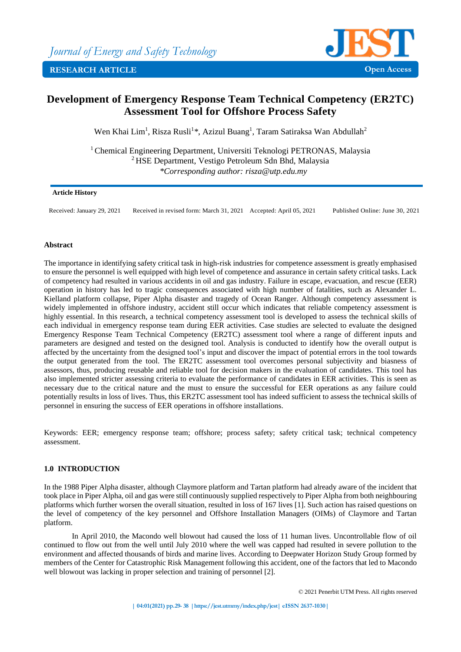

# **Development of Emergency Response Team Technical Competency (ER2TC) Assessment Tool for Offshore Process Safety**

Wen Khai Lim<sup>1</sup>, Risza Rusli<sup>1\*</sup>, Azizul Buang<sup>1</sup>, Taram Satiraksa Wan Abdullah<sup>2</sup>

<sup>1</sup> Chemical Engineering Department, Universiti Teknologi PETRONAS, Malaysia <sup>2</sup> HSE Department, Vestigo Petroleum Sdn Bhd, Malaysia *\*Corresponding author: risza@utp.edu.my*

## **Article History**

Received: January 29, 2021 Received in revised form: March 31, 2021 Accepted: April 05, 2021 Published Online: June 30, 2021

# **Abstract**

The importance in identifying safety critical task in high-risk industries for competence assessment is greatly emphasised to ensure the personnel is well equipped with high level of competence and assurance in certain safety critical tasks. Lack of competency had resulted in various accidents in oil and gas industry. Failure in escape, evacuation, and rescue (EER) operation in history has led to tragic consequences associated with high number of fatalities, such as Alexander L. Kielland platform collapse, Piper Alpha disaster and tragedy of Ocean Ranger. Although competency assessment is widely implemented in offshore industry, accident still occur which indicates that reliable competency assessment is highly essential. In this research, a technical competency assessment tool is developed to assess the technical skills of each individual in emergency response team during EER activities. Case studies are selected to evaluate the designed Emergency Response Team Technical Competency (ER2TC) assessment tool where a range of different inputs and parameters are designed and tested on the designed tool. Analysis is conducted to identify how the overall output is affected by the uncertainty from the designed tool's input and discover the impact of potential errors in the tool towards the output generated from the tool. The ER2TC assessment tool overcomes personal subjectivity and biasness of assessors, thus, producing reusable and reliable tool for decision makers in the evaluation of candidates. This tool has also implemented stricter assessing criteria to evaluate the performance of candidates in EER activities. This is seen as necessary due to the critical nature and the must to ensure the successful for EER operations as any failure could potentially results in loss of lives. Thus, this ER2TC assessment tool has indeed sufficient to assess the technical skills of personnel in ensuring the success of EER operations in offshore installations.

Keywords: EER; emergency response team; offshore; process safety; safety critical task; technical competency assessment.

## **1.0 INTRODUCTION**

In the 1988 Piper Alpha disaster, although Claymore platform and Tartan platform had already aware of the incident that took place in Piper Alpha, oil and gas were still continuously supplied respectively to Piper Alpha from both neighbouring platforms which further worsen the overall situation, resulted in loss of 167 lives [1]. Such action has raised questions on the level of competency of the key personnel and Offshore Installation Managers (OIMs) of Claymore and Tartan platform.

In April 2010, the Macondo well blowout had caused the loss of 11 human lives. Uncontrollable flow of oil continued to flow out from the well until July 2010 where the well was capped had resulted in severe pollution to the environment and affected thousands of birds and marine lives. According to Deepwater Horizon Study Group formed by members of the Center for Catastrophic Risk Management following this accident, one of the factors that led to Macondo well blowout was lacking in proper selection and training of personnel [2].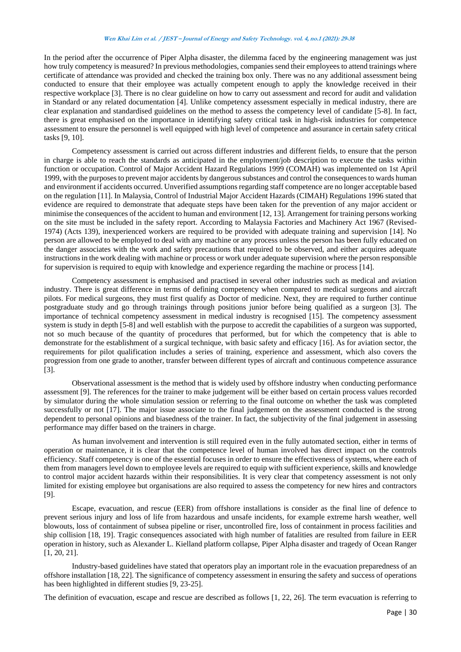In the period after the occurrence of Piper Alpha disaster, the dilemma faced by the engineering management was just how truly competency is measured? In previous methodologies, companies send their employees to attend trainings where certificate of attendance was provided and checked the training box only. There was no any additional assessment being conducted to ensure that their employee was actually competent enough to apply the knowledge received in their respective workplace [3]. There is no clear guideline on how to carry out assessment and record for audit and validation in Standard or any related documentation [4]. Unlike competency assessment especially in medical industry, there are clear explanation and standardised guidelines on the method to assess the competency level of candidate [5-8]. In fact, there is great emphasised on the importance in identifying safety critical task in high-risk industries for competence assessment to ensure the personnel is well equipped with high level of competence and assurance in certain safety critical tasks [9, 10].

Competency assessment is carried out across different industries and different fields, to ensure that the person in charge is able to reach the standards as anticipated in the employment/job description to execute the tasks within function or occupation. Control of Major Accident Hazard Regulations 1999 (COMAH) was implemented on 1st April 1999, with the purposes to prevent major accidents by dangerous substances and control the consequences to wards human and environment if accidents occurred. Unverified assumptions regarding staff competence are no longer acceptable based on the regulation [11]. In Malaysia, Control of Industrial Major Accident Hazards (CIMAH) Regulations 1996 stated that evidence are required to demonstrate that adequate steps have been taken for the prevention of any major accident or minimise the consequences of the accident to human and environment [12, 13]. Arrangement for training persons working on the site must be included in the safety report. According to Malaysia Factories and Machinery Act 1967 (Revised-1974) (Acts 139), inexperienced workers are required to be provided with adequate training and supervision [14]. No person are allowed to be employed to deal with any machine or any process unless the person has been fully educated on the danger associates with the work and safety precautions that required to be observed, and either acquires adequate instructions in the work dealing with machine or process or work under adequate supervision where the person responsible for supervision is required to equip with knowledge and experience regarding the machine or process [14].

Competency assessment is emphasised and practised in several other industries such as medical and aviation industry. There is great difference in terms of defining competency when compared to medical surgeons and aircraft pilots. For medical surgeons, they must first qualify as Doctor of medicine. Next, they are required to further continue postgraduate study and go through trainings through positions junior before being qualified as a surgeon [3]. The importance of technical competency assessment in medical industry is recognised [15]. The competency assessment system is study in depth [5-8] and well establish with the purpose to accredit the capabilities of a surgeon was supported, not so much because of the quantity of procedures that performed, but for which the competency that is able to demonstrate for the establishment of a surgical technique, with basic safety and efficacy [16]. As for aviation sector, the requirements for pilot qualification includes a series of training, experience and assessment, which also covers the progression from one grade to another, transfer between different types of aircraft and continuous competence assurance [3].

Observational assessment is the method that is widely used by offshore industry when conducting performance assessment [9]. The references for the trainer to make judgement will be either based on certain process values recorded by simulator during the whole simulation session or referring to the final outcome on whether the task was completed successfully or not [17]. The major issue associate to the final judgement on the assessment conducted is the strong dependent to personal opinions and biasedness of the trainer. In fact, the subjectivity of the final judgement in assessing performance may differ based on the trainers in charge.

As human involvement and intervention is still required even in the fully automated section, either in terms of operation or maintenance, it is clear that the competence level of human involved has direct impact on the controls efficiency. Staff competency is one of the essential focuses in order to ensure the effectiveness of systems, where each of them from managers level down to employee levels are required to equip with sufficient experience, skills and knowledge to control major accident hazards within their responsibilities. It is very clear that competency assessment is not only limited for existing employee but organisations are also required to assess the competency for new hires and contractors [9].

Escape, evacuation, and rescue (EER) from offshore installations is consider as the final line of defence to prevent serious injury and loss of life from hazardous and unsafe incidents, for example extreme harsh weather, well blowouts, loss of containment of subsea pipeline or riser, uncontrolled fire, loss of containment in process facilities and ship collision [18, 19]. Tragic consequences associated with high number of fatalities are resulted from failure in EER operation in history, such as Alexander L. Kielland platform collapse, Piper Alpha disaster and tragedy of Ocean Ranger [1, 20, 21].

Industry-based guidelines have stated that operators play an important role in the evacuation preparedness of an offshore installation [18, 22]. The significance of competency assessment in ensuring the safety and success of operations has been highlighted in different studies [9, 23-25].

The definition of evacuation, escape and rescue are described as follows [1, 22, 26]. The term evacuation is referring to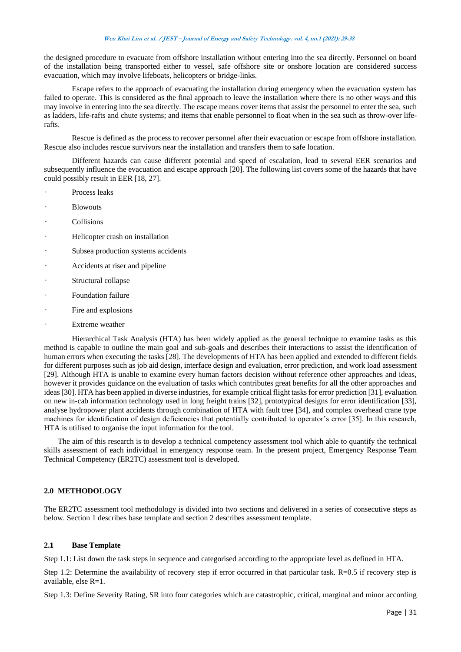the designed procedure to evacuate from offshore installation without entering into the sea directly. Personnel on board of the installation being transported either to vessel, safe offshore site or onshore location are considered success evacuation, which may involve lifeboats, helicopters or bridge-links.

Escape refers to the approach of evacuating the installation during emergency when the evacuation system has failed to operate. This is considered as the final approach to leave the installation where there is no other ways and this may involve in entering into the sea directly. The escape means cover items that assist the personnel to enter the sea, such as ladders, life-rafts and chute systems; and items that enable personnel to float when in the sea such as throw-over liferafts.

Rescue is defined as the process to recover personnel after their evacuation or escape from offshore installation. Rescue also includes rescue survivors near the installation and transfers them to safe location.

Different hazards can cause different potential and speed of escalation, lead to several EER scenarios and subsequently influence the evacuation and escape approach [20]. The following list covers some of the hazards that have could possibly result in EER [18, 27].

- Process leaks
- **Blowouts**
- **Collisions**
- Helicopter crash on installation
- Subsea production systems accidents
- Accidents at riser and pipeline
- Structural collapse
- Foundation failure
- Fire and explosions
- Extreme weather

Hierarchical Task Analysis (HTA) has been widely applied as the general technique to examine tasks as this method is capable to outline the main goal and sub-goals and describes their interactions to assist the identification of human errors when executing the tasks [28]. The developments of HTA has been applied and extended to different fields for different purposes such as job aid design, interface design and evaluation, error prediction, and work load assessment [29]. Although HTA is unable to examine every human factors decision without reference other approaches and ideas, however it provides guidance on the evaluation of tasks which contributes great benefits for all the other approaches and ideas [30]. HTA has been applied in diverse industries, for example critical flight tasks for error prediction [31], evaluation on new in-cab information technology used in long freight trains [32], prototypical designs for error identification [33], analyse hydropower plant accidents through combination of HTA with fault tree [34], and complex overhead crane type machines for identification of design deficiencies that potentially contributed to operator's error [35]. In this research, HTA is utilised to organise the input information for the tool.

The aim of this research is to develop a technical competency assessment tool which able to quantify the technical skills assessment of each individual in emergency response team. In the present project, Emergency Response Team Technical Competency (ER2TC) assessment tool is developed.

#### **2.0 METHODOLOGY**

The ER2TC assessment tool methodology is divided into two sections and delivered in a series of consecutive steps as below. Section 1 describes base template and section 2 describes assessment template.

## **2.1 Base Template**

Step 1.1: List down the task steps in sequence and categorised according to the appropriate level as defined in HTA.

Step 1.2: Determine the availability of recovery step if error occurred in that particular task. R=0.5 if recovery step is available, else R=1.

Step 1.3: Define Severity Rating, SR into four categories which are catastrophic, critical, marginal and minor according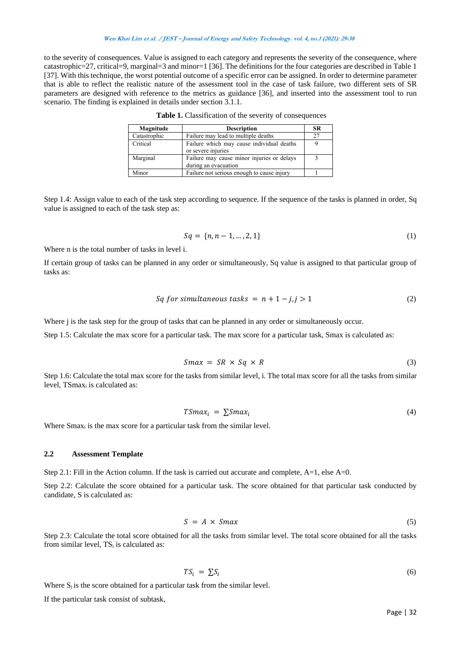to the severity of consequences. Value is assigned to each category and represents the severity of the consequence, where catastrophic=27, critical=9, marginal=3 and minor=1 [36]. The definitions for the four categories are described in Table 1 [37]. With this technique, the worst potential outcome of a specific error can be assigned. In order to determine parameter that is able to reflect the realistic nature of the assessment tool in the case of task failure, two different sets of SR parameters are designed with reference to the metrics as guidance [36], and inserted into the assessment tool to run scenario. The finding is explained in details under section 3.1.1.

| Magnitude    | <b>Description</b>                         | SR |
|--------------|--------------------------------------------|----|
| Catastrophic | Failure may lead to multiple deaths        | 27 |
| Critical     | Failure which may cause individual deaths  |    |
|              | or severe injuries                         |    |
| Marginal     | Failure may cause minor injuries or delays |    |
|              | during an evacuation                       |    |
| Minor        | Failure not serious enough to cause injury |    |

Table 1. Classification of the severity of consequences

Step 1.4: Assign value to each of the task step according to sequence. If the sequence of the tasks is planned in order, Sq value is assigned to each of the task step as:

$$
Sq = \{n, n-1, ..., 2, 1\} \tag{1}
$$

Where n is the total number of tasks in level i.

If certain group of tasks can be planned in any order or simultaneously, Sq value is assigned to that particular group of tasks as:

$$
Sq for simultaneous tasks = n + 1 - j, j > 1
$$
\n(2)

Where *j* is the task step for the group of tasks that can be planned in any order or simultaneously occur.

Step 1.5: Calculate the max score for a particular task. The max score for a particular task, Smax is calculated as:

$$
Smax = SR \times Sq \times R \tag{3}
$$

Step 1.6: Calculate the total max score for the tasks from similar level, i. The total max score for all the tasks from similar level, TSmax<sub>i</sub> is calculated as:

$$
TSmax_i = \sum Smax_i \tag{4}
$$

Where Smax<sub>i</sub> is the max score for a particular task from the similar level.

## **2.2 Assessment Template**

Step 2.1: Fill in the Action column. If the task is carried out accurate and complete, A=1, else A=0.

Step 2.2: Calculate the score obtained for a particular task. The score obtained for that particular task conducted by candidate, S is calculated as:

$$
S = A \times Smax \tag{5}
$$

Step 2.3: Calculate the total score obtained for all the tasks from similar level. The total score obtained for all the tasks from similar level,  $TS_i$  is calculated as:

$$
TS_i = \sum S_i \tag{6}
$$

Where  $S_i$  is the score obtained for a particular task from the similar level.

If the particular task consist of subtask,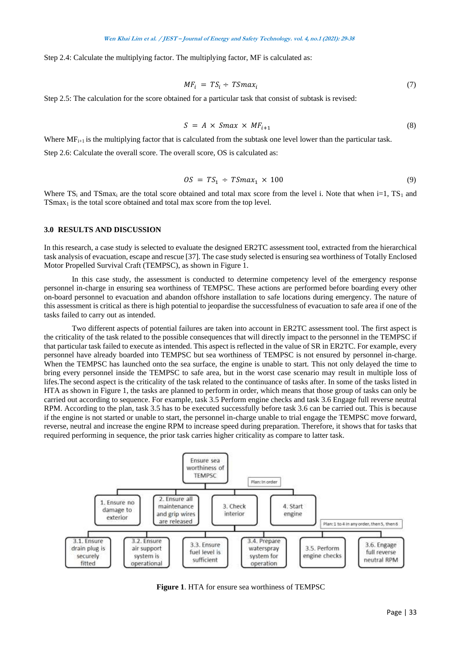Step 2.4: Calculate the multiplying factor. The multiplying factor, MF is calculated as:

$$
MF_i = TS_i \div TSmax_i \tag{7}
$$

Step 2.5: The calculation for the score obtained for a particular task that consist of subtask is revised:

$$
S = A \times Smax \times MF_{i+1} \tag{8}
$$

Where  $MF_{i+1}$  is the multiplying factor that is calculated from the subtask one level lower than the particular task.

Step 2.6: Calculate the overall score. The overall score, OS is calculated as:

$$
OS = TS_1 \div TSmax_1 \times 100 \tag{9}
$$

Where TS<sub>i</sub> and TSmax<sub>i</sub> are the total score obtained and total max score from the level i. Note that when i=1, TS<sub>1</sub> and  $TSmax<sub>1</sub>$  is the total score obtained and total max score from the top level.

### **3.0 RESULTS AND DISCUSSION**

In this research, a case study is selected to evaluate the designed ER2TC assessment tool, extracted from the hierarchical task analysis of evacuation, escape and rescue [37]. The case study selected is ensuring sea worthiness of Totally Enclosed Motor Propelled Survival Craft (TEMPSC), as shown in Figure 1.

In this case study, the assessment is conducted to determine competency level of the emergency response personnel in-charge in ensuring sea worthiness of TEMPSC. These actions are performed before boarding every other on-board personnel to evacuation and abandon offshore installation to safe locations during emergency. The nature of this assessment is critical as there is high potential to jeopardise the successfulness of evacuation to safe area if one of the tasks failed to carry out as intended.

Two different aspects of potential failures are taken into account in ER2TC assessment tool. The first aspect is the criticality of the task related to the possible consequences that will directly impact to the personnel in the TEMPSC if that particular task failed to execute as intended. This aspect is reflected in the value of SR in ER2TC. For example, every personnel have already boarded into TEMPSC but sea worthiness of TEMPSC is not ensured by personnel in-charge. When the TEMPSC has launched onto the sea surface, the engine is unable to start. This not only delayed the time to bring every personnel inside the TEMPSC to safe area, but in the worst case scenario may result in multiple loss of lifes.The second aspect is the criticality of the task related to the continuance of tasks after. In some of the tasks listed in HTA as shown in Figure 1, the tasks are planned to perform in order, which means that those group of tasks can only be carried out according to sequence. For example, task 3.5 Perform engine checks and task 3.6 Engage full reverse neutral RPM. According to the plan, task 3.5 has to be executed successfully before task 3.6 can be carried out. This is because if the engine is not started or unable to start, the personnel in-charge unable to trial engage the TEMPSC move forward, reverse, neutral and increase the engine RPM to increase speed during preparation. Therefore, it shows that for tasks that required performing in sequence, the prior task carries higher criticality as compare to latter task.



**Figure 1**. HTA for ensure sea worthiness of TEMPSC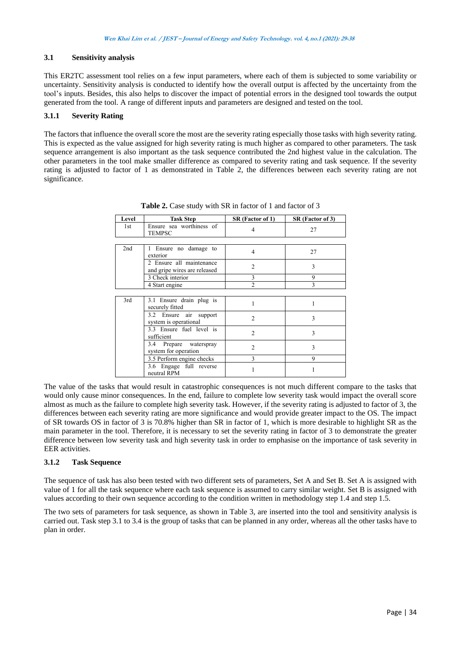# **3.1 Sensitivity analysis**

This ER2TC assessment tool relies on a few input parameters, where each of them is subjected to some variability or uncertainty. Sensitivity analysis is conducted to identify how the overall output is affected by the uncertainty from the tool's inputs. Besides, this also helps to discover the impact of potential errors in the designed tool towards the output generated from the tool. A range of different inputs and parameters are designed and tested on the tool.

# **3.1.1 Severity Rating**

The factors that influence the overall score the most are the severity rating especially those tasks with high severity rating. This is expected as the value assigned for high severity rating is much higher as compared to other parameters. The task sequence arrangement is also important as the task sequence contributed the 2nd highest value in the calculation. The other parameters in the tool make smaller difference as compared to severity rating and task sequence. If the severity rating is adjusted to factor of 1 as demonstrated in Table 2, the differences between each severity rating are not significance.

| Level | <b>Task Step</b>                                         | SR (Factor of 1) | SR (Factor of 3) |
|-------|----------------------------------------------------------|------------------|------------------|
| 1st   | Ensure sea worthiness of<br><b>TEMPSC</b>                | 4                | 27               |
|       |                                                          |                  |                  |
| 2nd   | Ensure no damage to<br>exterior                          | $\overline{4}$   | 27               |
|       | 2 Ensure all maintenance<br>and gripe wires are released | $\overline{2}$   | 3                |
|       | 3 Check interior                                         | 3                | 9                |
|       | 4 Start engine                                           | $\mathfrak{D}$   | 3                |
|       |                                                          |                  |                  |
| 3rd   | 3.1 Ensure drain plug is<br>securely fitted              |                  |                  |
|       | 3.2 Ensure air<br>support<br>system is operational       | $\mathfrak{D}$   | 3                |
|       | 3.3 Ensure fuel level is<br>sufficient                   | $\overline{2}$   | 3                |
|       | 3.4 Prepare waterspray<br>system for operation           | 2                | 3                |
|       | 3.5 Perform engine checks                                | 3                | 9                |
|       | 3.6 Engage full reverse<br>neutral RPM                   |                  |                  |

**Table 2.** Case study with SR in factor of 1 and factor of 3

The value of the tasks that would result in catastrophic consequences is not much different compare to the tasks that would only cause minor consequences. In the end, failure to complete low severity task would impact the overall score almost as much as the failure to complete high severity task. However, if the severity rating is adjusted to factor of 3, the differences between each severity rating are more significance and would provide greater impact to the OS. The impact of SR towards OS in factor of 3 is 70.8% higher than SR in factor of 1, which is more desirable to highlight SR as the main parameter in the tool. Therefore, it is necessary to set the severity rating in factor of 3 to demonstrate the greater difference between low severity task and high severity task in order to emphasise on the importance of task severity in EER activities.

## **3.1.2 Task Sequence**

The sequence of task has also been tested with two different sets of parameters, Set A and Set B. Set A is assigned with value of 1 for all the task sequence where each task sequence is assumed to carry similar weight. Set B is assigned with values according to their own sequence according to the condition written in methodology step 1.4 and step 1.5.

The two sets of parameters for task sequence, as shown in Table 3, are inserted into the tool and sensitivity analysis is carried out. Task step 3.1 to 3.4 is the group of tasks that can be planned in any order, whereas all the other tasks have to plan in order.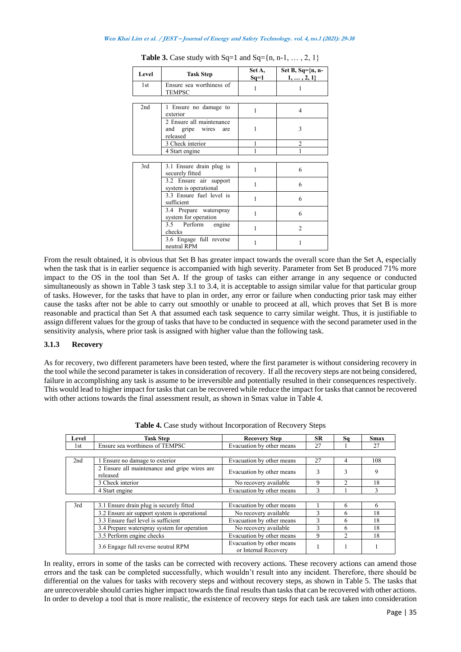| Level | <b>Task Step</b>                                            | Set A,<br>$Sq=1$ | Set B, Sq= $\{n, n-$<br>$1, \ldots, 2, 1\}$ |
|-------|-------------------------------------------------------------|------------------|---------------------------------------------|
| 1st   | Ensure sea worthiness of<br><b>TEMPSC</b>                   | 1                | 1                                           |
|       |                                                             |                  |                                             |
| 2nd   | 1 Ensure no damage to<br>exterior                           | 1                | $\overline{\mathcal{A}}$                    |
|       | 2 Ensure all maintenance<br>and gripe wires are<br>released | 1                | 3                                           |
|       | 3 Check interior                                            |                  | $\overline{c}$                              |
|       | 4 Start engine                                              |                  |                                             |
|       |                                                             |                  |                                             |
| 3rd   | 3.1 Ensure drain plug is<br>securely fitted                 | 1                | 6                                           |
|       | 3.2 Ensure air support<br>system is operational             | 1                | 6                                           |
|       | 3.3 Ensure fuel level is<br>sufficient                      | 1                | 6                                           |
|       | 3.4 Prepare waterspray<br>system for operation              | 1                | 6                                           |
|       | 3.5 Perform engine<br>checks                                | 1                | $\mathfrak{D}$                              |
|       | 3.6 Engage full reverse<br>neutral RPM                      | 1                | 1                                           |

**Table 3.** Case study with  $Sq=1$  and  $Sq=[n, n-1, \ldots, 2, 1]$ 

From the result obtained, it is obvious that Set B has greater impact towards the overall score than the Set A, especially when the task that is in earlier sequence is accompanied with high severity. Parameter from Set B produced 71% more impact to the OS in the tool than Set A. If the group of tasks can either arrange in any sequence or conducted simultaneously as shown in Table 3 task step 3.1 to 3.4, it is acceptable to assign similar value for that particular group of tasks. However, for the tasks that have to plan in order, any error or failure when conducting prior task may either cause the tasks after not be able to carry out smoothly or unable to proceed at all, which proves that Set B is more reasonable and practical than Set A that assumed each task sequence to carry similar weight. Thus, it is justifiable to assign different values for the group of tasks that have to be conducted in sequence with the second parameter used in the sensitivity analysis, where prior task is assigned with higher value than the following task.

# **3.1.3 Recovery**

As for recovery, two different parameters have been tested, where the first parameter is without considering recovery in the tool while the second parameter is takes in consideration of recovery. If all the recovery steps are not being considered, failure in accomplishing any task is assume to be irreversible and potentially resulted in their consequences respectively. This would lead to higher impact for tasks that can be recovered while reduce the impact for tasks that cannot be recovered with other actions towards the final assessment result, as shown in Smax value in Table 4.

| Level | <b>Task Step</b>                                         | <b>Recovery Step</b>                              | <b>SR</b>    | Sq             | <b>Smax</b> |
|-------|----------------------------------------------------------|---------------------------------------------------|--------------|----------------|-------------|
| 1st   | Ensure sea worthiness of TEMPSC                          | Evacuation by other means                         | 27           |                | 27          |
|       |                                                          |                                                   |              |                |             |
| 2nd   | 1 Ensure no damage to exterior                           | Evacuation by other means                         | 27           | 4              | 108         |
|       | 2 Ensure all maintenance and gripe wires are<br>released | Evacuation by other means                         | 3            | 3              | 9           |
|       | 3 Check interior                                         | No recovery available                             | 9            | $\mathfrak{D}$ | 18          |
|       | 4 Start engine                                           | Evacuation by other means                         | 3            |                | 3           |
|       |                                                          |                                                   |              |                |             |
| 3rd   | 3.1 Ensure drain plug is securely fitted                 | Evacuation by other means                         |              | 6              | 6           |
|       | 3.2 Ensure air support system is operational             | No recovery available                             | $\mathbf{3}$ | 6              | 18          |
|       | 3.3 Ensure fuel level is sufficient                      | Evacuation by other means                         | 3            | 6              | 18          |
|       | 3.4 Prepare waterspray system for operation              | No recovery available                             | 3            | 6              | 18          |
|       | 3.5 Perform engine checks                                | Evacuation by other means                         | 9            | $\mathfrak{D}$ | 18          |
|       | 3.6 Engage full reverse neutral RPM                      | Evacuation by other means<br>or Internal Recovery |              |                |             |

**Table 4.** Case study without Incorporation of Recovery Steps

In reality, errors in some of the tasks can be corrected with recovery actions. These recovery actions can amend those errors and the task can be completed successfully, which wouldn't result into any incident. Therefore, there should be differential on the values for tasks with recovery steps and without recovery steps, as shown in Table 5. The tasks that are unrecoverable should carries higher impact towards the final results than tasks that can be recovered with other actions. In order to develop a tool that is more realistic, the existence of recovery steps for each task are taken into consideration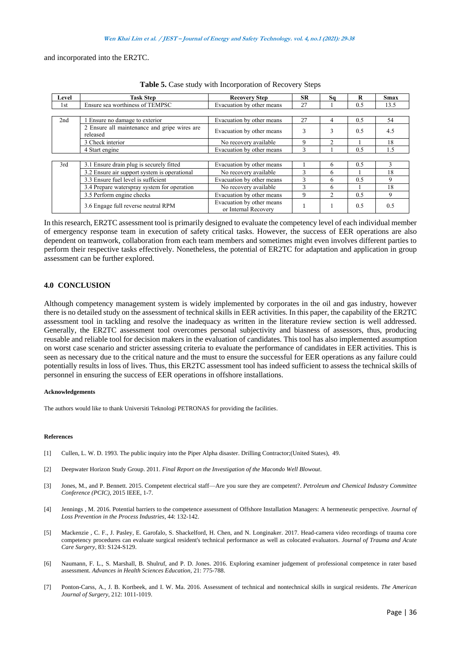and incorporated into the ER2TC.

| Level | <b>Task Step</b>                                         | <b>Recovery Step</b>                              | <b>SR</b> | Sa                          | R   | <b>Smax</b> |
|-------|----------------------------------------------------------|---------------------------------------------------|-----------|-----------------------------|-----|-------------|
| 1st   | Ensure sea worthiness of TEMPSC                          | Evacuation by other means                         | 27        |                             | 0.5 | 13.5        |
|       |                                                          |                                                   |           |                             |     |             |
| 2nd   | Ensure no damage to exterior                             | Evacuation by other means                         | 27        | 4                           | 0.5 | 54          |
|       | 2 Ensure all maintenance and gripe wires are<br>released | Evacuation by other means                         | 3         | 3                           | 0.5 | 4.5         |
|       | 3 Check interior                                         | No recovery available                             | 9         | $\mathfrak{D}$              |     | 18          |
|       | 4 Start engine                                           | Evacuation by other means                         | 3         |                             | 0.5 | 1.5         |
|       |                                                          |                                                   |           |                             |     |             |
| 3rd   | 3.1 Ensure drain plug is securely fitted                 | Evacuation by other means                         |           | 6                           | 0.5 |             |
|       | 3.2 Ensure air support system is operational             | No recovery available                             | 3         | 6                           |     | 18          |
|       | 3.3 Ensure fuel level is sufficient                      | Evacuation by other means                         | 3         | 6                           | 0.5 | 9           |
|       | 3.4 Prepare waterspray system for operation              | No recovery available                             | 3         | 6                           |     | 18          |
|       | 3.5 Perform engine checks                                | Evacuation by other means                         | 9         | $\mathcal{D}_{\mathcal{L}}$ | 0.5 | 9           |
|       | 3.6 Engage full reverse neutral RPM                      | Evacuation by other means<br>or Internal Recovery |           |                             | 0.5 | 0.5         |

**Table 5.** Case study with Incorporation of Recovery Steps

In this research, ER2TC assessment tool is primarily designed to evaluate the competency level of each individual member of emergency response team in execution of safety critical tasks. However, the success of EER operations are also dependent on teamwork, collaboration from each team members and sometimes might even involves different parties to perform their respective tasks effectively. Nonetheless, the potential of ER2TC for adaptation and application in group assessment can be further explored.

# **4.0 CONCLUSION**

Although competency management system is widely implemented by corporates in the oil and gas industry, however there is no detailed study on the assessment of technical skills in EER activities. In this paper, the capability of the ER2TC assessment tool in tackling and resolve the inadequacy as written in the literature review section is well addressed. Generally, the ER2TC assessment tool overcomes personal subjectivity and biasness of assessors, thus, producing reusable and reliable tool for decision makers in the evaluation of candidates. This tool has also implemented assumption on worst case scenario and stricter assessing criteria to evaluate the performance of candidates in EER activities. This is seen as necessary due to the critical nature and the must to ensure the successful for EER operations as any failure could potentially results in loss of lives. Thus, this ER2TC assessment tool has indeed sufficient to assess the technical skills of personnel in ensuring the success of EER operations in offshore installations.

#### **Acknowledgements**

The authors would like to thank Universiti Teknologi PETRONAS for providing the facilities.

#### **References**

- [1] Cullen, L. W. D. 1993. The public inquiry into the Piper Alpha disaster. Drilling Contractor;(United States), 49.
- [2] Deepwater Horizon Study Group. 2011. *Final Report on the Investigation of the Macondo Well Blowout*.
- [3] Jones, M., and P. Bennett. 2015. Competent electrical staff—Are you sure they are competent?. *Petroleum and Chemical Industry Committee Conference (PCIC)*, 2015 IEEE, 1-7.
- [4] Jennings , M. 2016. Potential barriers to the competence assessment of Offshore Installation Managers: A hermeneutic perspective. *Journal of Loss Prevention in the Process Industries*, 44: 132-142.
- [5] Mackenzie , C. F., J. Pasley, E. Garofalo, S. Shackelford, H. Chen, and N. Longinaker. 2017. Head-camera video recordings of trauma core competency procedures can evaluate surgical resident's technical performance as well as colocated evaluators. *Journal of Trauma and Acute Care Surgery,* 83: S124-S129.
- [6] Naumann, F. L., S. Marshall, B. Shulruf, and P. D. Jones. 2016. Exploring examiner judgement of professional competence in rater based assessment. *Advances in Health Sciences Education*, 21: 775-788.
- [7] Ponton-Carss, A., J. B. Kortbeek, and I. W. Ma. 2016. Assessment of technical and nontechnical skills in surgical residents. *The American Journal of Surgery*, 212: 1011-1019.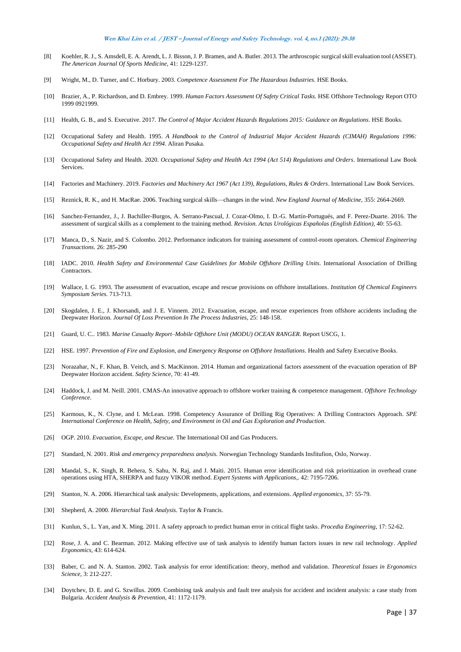- [8] Koehler, R. J., S. Amsdell, E. A. Arendt, L. J. Bisson, J. P. Bramen, and A. Butler. 2013. The arthroscopic surgical skill evaluation tool (ASSET). *The American Journal Of Sports Medicine*, 41: 1229-1237.
- [9] Wright, M., D. Turner, and C. Horbury. 2003. *Competence Assessment For The Hazardous Industries*. HSE Books.
- [10] Brazier, A., P. Richardson, and D. Embrey. 1999. *Human Factors Assessment Of Safety Critical Tasks.* HSE Offshore Technology Report OTO 1999 0921999.
- [11] Health, G. B., and S. Executive. 2017. *The Control of Major Accident Hazards Regulations 2015: Guidance on Regulations.* HSE Books.
- [12] Occupational Safety and Health. 1995. *A Handbook to the Control of Industrial Major Accident Hazards (CIMAH) Regulations 1996: Occupational Safety and Health Act 1994*. Aliran Pusaka.
- [13] Occupational Safety and Health. 2020. *Occupational Safety and Health Act 1994 (Act 514) Regulations and Orders*. International Law Book **Services**.
- [14] Factories and Machinery. 2019. *Factories and Machinery Act 1967 (Act 139), Regulations, Rules & Orders*. International Law Book Services.
- [15] Reznick, R. K., and H. MacRae. 2006. Teaching surgical skills—changes in the wind. *New England Journal of Medicine*, 355: 2664-2669.
- [16] Sanchez-Fernandez, J., J. Bachiller-Burgos, A. Serrano-Pascual, J. Cozar-Olmo, I. D.-G. Martín-Portugués, and F. Perez-Duarte. 2016. The assessment of surgical skills as a complement to the training method*. Revision. Actas Urológicas Españolas (English Edition)*, 40: 55-63.
- [17] Manca, D., S. Nazir, and S. Colombo. 2012. Performance indicators for training assessment of control-room operators. *Chemical Engineering Transactions*. 26: 285-290
- [18] IADC. 2010. *Health Safety and Environmental Case Guidelines for Mobile Offshore Drilling Units.* International Association of Drilling Contractors.
- [19] Wallace, I. G. 1993. The assessment of evacuation, escape and rescue provisions on offshore installations. *Institution Of Chemical Engineers Symposium Series.* 713-713.
- [20] Skogdalen, J. E., J. Khorsandi, and J. E. Vinnem. 2012. Evacuation, escape, and rescue experiences from offshore accidents including the Deepwater Horizon. *Journal Of Loss Prevention In The Process Industries*, 25: 148-158.
- [21] Guard, U. C.. 1983. *Marine Casualty Report–Mobile Offshore Unit (MODU) OCEAN RANGER.* Report USCG, 1.
- [22] HSE. 1997. *Prevention of Fire and Explosion, and Emergency Response on Offshore Installations.* Health and Safety Executive Books.
- [23] Norazahar, N., F. Khan, B. Veitch, and S. MacKinnon. 2014. Human and organizational factors assessment of the evacuation operation of BP Deepwater Horizon accident. *Safety Science*, 70: 41-49.
- [24] Haddock, J. and M. Neill. 2001. CMAS-An innovative approach to offshore worker training & competence management. *Offshore Technology Conference*.
- [25] Karmous, K., N. Clyne, and I. McLean. 1998. Competency Assurance of Drilling Rig Operatives: A Drilling Contractors Approach. *SPE International Conference on Health, Safety, and Environment in Oil and Gas Exploration and Production*.
- [26] OGP. 2010. *Evacuation, Escape, and Rescue.* The International Oil and Gas Producers.
- [27] Standard, N. 2001. *Risk and emergency preparedness analysis.* Norwegian Technology Standards Insfitufion, Oslo, Norway.
- [28] Mandal, S., K. Singh, R. Behera, S. Sahu, N. Raj, and J. Maiti. 2015. Human error identification and risk prioritization in overhead crane operations using HTA, SHERPA and fuzzy VIKOR method. *Expert Systems with Applications*,. 42: 7195-7206.
- [29] Stanton, N. A. 2006. Hierarchical task analysis: Developments, applications, and extensions. *Applied ergonomics*, 37: 55-79.
- [30] Shepherd, A. 2000. *Hierarchial Task Analysis.* Taylor & Francis.
- [31] Kunlun, S., L. Yan, and X. Ming. 2011. A safety approach to predict human error in critical flight tasks. *Procedia Engineering*, 17: 52-62.
- [32] Rose, J. A. and C. Bearman. 2012. Making effective use of task analysis to identify human factors issues in new rail technology. *Applied Ergonomics*, 43: 614-624.
- [33] Baber, C. and N. A. Stanton. 2002. Task analysis for error identification: theory, method and validation. *Theoretical Issues in Ergonomics Science*, 3: 212-227.
- [34] Doytchev, D. E. and G. Szwillus. 2009. Combining task analysis and fault tree analysis for accident and incident analysis: a case study from Bulgaria. *Accident Analysis & Prevention*, 41: 1172-1179.